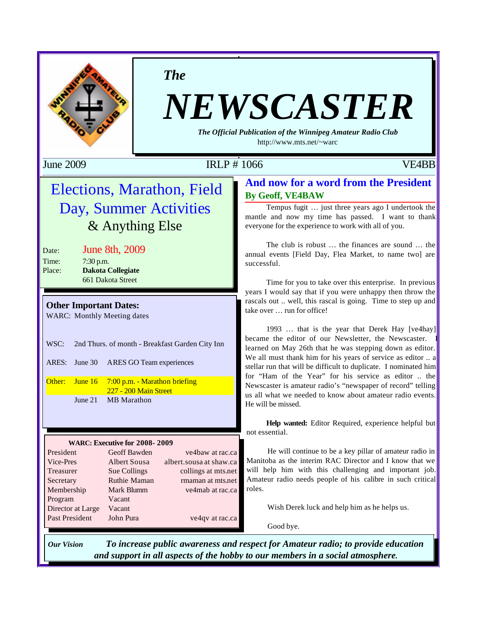

*The*

# *NEWSCASTER*

*The Official Publication of the Winnipeg Amateur Radio Club* http://www.mts.net/~warc

June 2009 IRLP # 1066 VE4BB

## Elections, Marathon, Field Day, Summer Activities & Anything Else

Date: June 8th, 2009 Time: 7:30 p.m. Place: **Dakota Collegiate** 661 Dakota Street

**Other Important Dates:**

WARC: Monthly Meeting dates

WSC: 2nd Thurs. of month - Breakfast Garden City Inn

ARES: June 30 ARES GO Team experiences

Other: June 16 7:00 p.m. - Marathon briefing 227 - 200 Main Street June 21 MB Marathon

#### **WARC: Executive for 2008- 2009**

| President             | Geoff Bawden        | ve4baw at rac.ca        |
|-----------------------|---------------------|-------------------------|
| Vice-Pres             | <b>Albert Sousa</b> | albert.sousa at shaw.ca |
| Treasurer             | Sue Collings        | collings at mts.net     |
| Secretary             | Ruthie Maman        | rmaman at mts.net       |
| Membership            | Mark Blumm          | ve4mab at rac.ca        |
| Program               | Vacant              |                         |
| Director at Large     | Vacant              |                         |
| <b>Past President</b> | John Pura           | ve4qv at rac.ca         |
|                       |                     |                         |

## **And now for a word from the President By Geoff, VE4BAW**

Tempus fugit … just three years ago I undertook the mantle and now my time has passed. I want to thank everyone for the experience to work with all of you.

The club is robust … the finances are sound … the annual events [Field Day, Flea Market, to name two] are successful.

Time for you to take over this enterprise. In previous years I would say that if you were unhappy then throw the rascals out .. well, this rascal is going. Time to step up and take over … run for office!

1993 … that is the year that Derek Hay [ve4hay] became the editor of our Newsletter, the Newscaster. learned on May 26th that he was stepping down as editor. We all must thank him for his years of service as editor .. a stellar run that will be difficult to duplicate. I nominated him for "Ham of the Year" for his service as editor .. the Newscaster is amateur radio's "newspaper of record" telling us all what we needed to know about amateur radio events. He will be missed.

**Help wanted:** Editor Required, experience helpful but not essential.

He will continue to be a key pillar of amateur radio in Manitoba as the interim RAC Director and I know that we will help him with this challenging and important job. Amateur radio needs people of his calibre in such critical roles.

Wish Derek luck and help him as he helps us.

Good bye.

*Our Vision To increase public awareness and respect for Amateur radio; to provide education and support in all aspects of the hobby to our members in a social atmosphere.*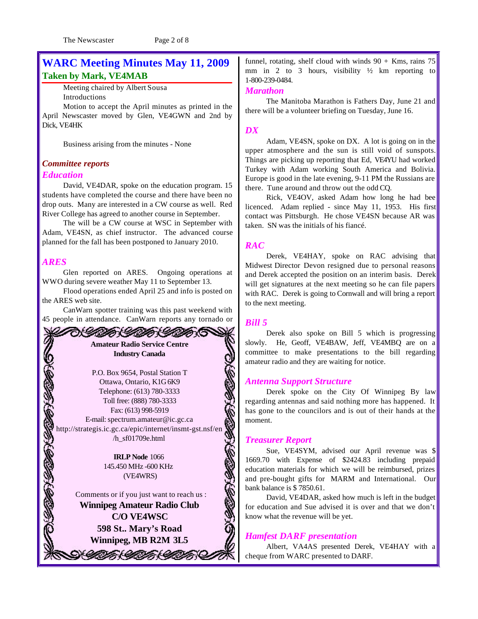The Newscaster Page 2 of 8

## **WARC Meeting Minutes May 11, 2009 Taken by Mark, VE4MAB**

Meeting chaired by Albert Sousa Introductions

Motion to accept the April minutes as printed in the April Newscaster moved by Glen, VE4GWN and 2nd by Dick, VE4HK

Business arising from the minutes - None

## *Committee reports*

#### *Education*

David, VE4DAR, spoke on the education program. 15 students have completed the course and there have been no drop outs. Many are interested in a CW course as well. Red River College has agreed to another course in September.

The will be a CW course at WSC in September with Adam, VE4SN, as chief instructor. The advanced course planned for the fall has been postponed to January 2010.

#### *ARES*

Glen reported on ARES. Ongoing operations at WWO during severe weather May 11 to September 13.

Flood operations ended April 25 and info is posted on the ARES web site.

CanWarn spotter training was this past weekend with 45 people in attendance. CanWarn reports any tornado or

ひきしゃかく しゃかくし

## **Amateur Radio Service Centre Industry Canada**

P.O. Box 9654, Postal Station T Ottawa, Ontario, K1G 6K9 Telephone: (613) 780-3333 Toll free: (888) 780-3333 Fax: (613) 998-5919 E-mail: spectrum.amateur@ic.gc.ca http://strategis.ic.gc.ca/epic/internet/insmt-gst.nsf/en /h\_sf01709e.html

> **IRLP Node** 1066 145.450 MHz -600 KHz (VE4WRS)

Comments or if you just want to reach us : **Winnipeg Amateur Radio Club C/O VE4WSC 598 St.. Mary's Road Winnipeg, MB R2M 3L5**

V UITA (UTA (UTA

funnel, rotating, shelf cloud with winds  $90 +$ Kms, rains 75 mm in 2 to 3 hours, visibility  $\frac{1}{2}$  km reporting to 1-800-239-0484.

#### *Marathon*

The Manitoba Marathon is Fathers Day, June 21 and there will be a volunteer briefing on Tuesday, June 16.

#### *DX*

Adam, VE4SN, spoke on DX. A lot is going on in the upper atmosphere and the sun is still void of sunspots. Things are picking up reporting that Ed, VE4YU had worked Turkey with Adam working South America and Bolivia. Europe is good in the late evening, 9-11 PM the Russians are there. Tune around and throw out the odd CQ.

Rick, VE4OV, asked Adam how long he had bee licenced. Adam replied - since May 11, 1953. His first contact was Pittsburgh. He chose VE4SN because AR was taken. SN was the initials of his fiancé.

#### *RAC*

Derek, VE4HAY, spoke on RAC advising that Midwest Director Devon resigned due to personal reasons and Derek accepted the position on an interim basis. Derek will get signatures at the next meeting so he can file papers with RAC. Derek is going to Cornwall and will bring a report to the next meeting.

#### *Bill 5*

Derek also spoke on Bill 5 which is progressing slowly. He, Geoff, VE4BAW, Jeff, VE4MBQ are on a committee to make presentations to the bill regarding amateur radio and they are waiting for notice.

#### *Antenna Support Structure*

Derek spoke on the City Of Winnipeg By law regarding antennas and said nothing more has happened. It has gone to the councilors and is out of their hands at the moment.

#### *Treasurer Report*

Sue, VE4SYM, advised our April revenue was \$ 1669.70 with Expense of \$2424.83 including prepaid education materials for which we will be reimbursed, prizes and pre-bought gifts for MARM and International. Our bank balance is \$ 7850.61.

David, VE4DAR, asked how much is left in the budget for education and Sue advised it is over and that we don't know what the revenue will be yet.

#### *Hamfest DARF presentation*

Albert, VA4AS presented Derek, VE4HAY with a cheque from WARC presented to DARF.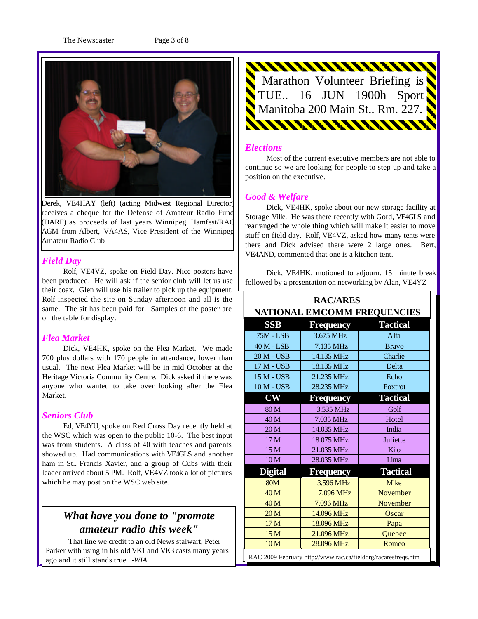The Newscaster Page 3 of 8



Derek, VE4HAY (left) (acting Midwest Regional Director) receives a cheque for the Defense of Amateur Radio Fund (DARF) as proceeds of last years Winnipeg Hamfest/RAC AGM from Albert, VA4AS, Vice President of the Winnipeg Amateur Radio Club

#### *Field Day*

Rolf, VE4VZ, spoke on Field Day. Nice posters have been produced. He will ask if the senior club will let us use their coax. Glen will use his trailer to pick up the equipment. Rolf inspected the site on Sunday afternoon and all is the same. The sit has been paid for. Samples of the poster are on the table for display.

#### *Flea Market*

Dick, VE4HK, spoke on the Flea Market. We made 700 plus dollars with 170 people in attendance, lower than usual. The next Flea Market will be in mid October at the Heritage Victoria Community Centre. Dick asked if there was anyone who wanted to take over looking after the Flea Market.

#### *Seniors Club*

Ed, VE4YU, spoke on Red Cross Day recently held at the WSC which was open to the public 10-6. The best input was from students. A class of 40 with teaches and parents showed up. Had communications with VE4GLS and another ham in St.. Francis Xavier, and a group of Cubs with their leader arrived about 5 PM. Rolf, VE4VZ took a lot of pictures which he may post on the WSC web site.

## *What have you done to "promote amateur radio this week"*

 That line we credit to an old News stalwart, Peter Parker with using in his old VK1 and VK3 casts many years ago and it still stands true *-WIA*



#### *Elections*

Most of the current executive members are not able to continue so we are looking for people to step up and take a position on the executive.

#### *Good & Welfare*

Dick, VE4HK, spoke about our new storage facility at Storage Ville. He was there recently with Gord, VE4GLS and rearranged the whole thing which will make it easier to move stuff on field day. Rolf, VE4VZ, asked how many tents were there and Dick advised there were 2 large ones. Bert, VE4AND, commented that one is a kitchen tent.

Dick, VE4HK, motioned to adjourn. 15 minute break followed by a presentation on networking by Alan, VE4YZ

| <b>RAC/ARES</b><br><b>NATIONAL EMCOMM FREQUENCIES</b>         |            |                 |  |  |
|---------------------------------------------------------------|------------|-----------------|--|--|
| <b>SSB</b>                                                    | Frequency  | <b>Tactical</b> |  |  |
| <b>75M - LSB</b>                                              | 3.675 MHz  | Alfa            |  |  |
| 40 M - LSB                                                    | 7.135 MHz  | <b>Bravo</b>    |  |  |
| 20 M - USB                                                    | 14.135 MHz | Charlie         |  |  |
| 17 M - USB                                                    | 18.135 MHz | Delta           |  |  |
| 15 M - USB                                                    | 21.235 MHz | Echo            |  |  |
| 10 M - USB                                                    | 28.235 MHz | Foxtrot         |  |  |
| $\mathbf{CW}$                                                 | Frequency  | <b>Tactical</b> |  |  |
| 80 M                                                          | 3.535 MHz  | Golf            |  |  |
| 40 M                                                          | 7.035 MHz  | Hotel           |  |  |
| 20 <sub>M</sub>                                               | 14.035 MHz | India           |  |  |
| 17 M                                                          | 18.075 MHz | Juliette        |  |  |
| 15 M                                                          | 21.035 MHz | Kilo            |  |  |
| 10 M                                                          | 28.035 MHz | Lima            |  |  |
| <b>Digital</b>                                                | Frequency  | <b>Tactical</b> |  |  |
| <b>80M</b>                                                    | 3.596 MHz  | <b>Mike</b>     |  |  |
| 40 M                                                          | 7.096 MHz  | November        |  |  |
| 40 M                                                          | 7.096 MHz  | November        |  |  |
| 20 <sub>M</sub>                                               | 14.096 MHz | Oscar           |  |  |
| 17 M                                                          | 18.096 MHz | Papa            |  |  |
| 15 M                                                          | 21.096 MHz | Quebec          |  |  |
| 10 <sub>M</sub>                                               | 28.096 MHz | Romeo           |  |  |
| RAC 2009 February http://www.rac.ca/fieldorg/racaresfreqs.htm |            |                 |  |  |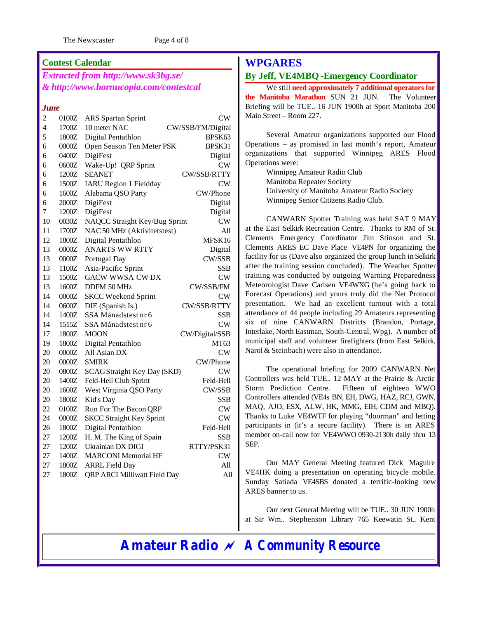The Newscaster Page 4 of 8

#### **Contest Calendar**

*Extracted from http://www.sk3bg.se/ & http://www.hornucopia.com/contestcal*

#### *June*

| $\overline{c}$ | 0100Z   | <b>ARS</b> Spartan Sprint       | CW                |
|----------------|---------|---------------------------------|-------------------|
| 4              | 1700Z   | 10 meter NAC                    | CW/SSB/FM/Digital |
| 5              | 1800Z   | Digital Pentathlon              | BPSK63            |
| 6              | $0000Z$ | Open Season Ten Meter PSK       | BPSK31            |
| 6              | 0400Z   | DigiFest                        | Digital           |
| 6              | 0600Z   | Wake-Up! QRP Sprint             | CW                |
| 6              | 1200Z   | <b>SEANET</b>                   | CW/SSB/RTTY       |
| 6              | 1500Z   | <b>IARU Region 1 Fieldday</b>   | CW                |
| 6              | 1600Z   | Alabama QSO Party               | CW/Phone          |
| 6              | $2000Z$ | DigiFest                        | Digital           |
| 7              | 1200Z   | DigiFest                        | Digital           |
| 10             | 0030Z   | NAQCC Straight Key/Bug Sprint   | CW                |
| 11             | 1700Z   | NAC 50 MHz (Aktivitetstest)     | All               |
| 12             | 1800Z   | Digital Pentathlon              | MFSK16            |
| 13             | 0000Z   | <b>ANARTS WW RTTY</b>           | Digital           |
| 13             | $0000Z$ | Portugal Day                    | CW/SSB            |
| 13             | 1100Z   | Asia-Pacific Sprint             | <b>SSB</b>        |
| 13             | 1500Z   | <b>GACW WWSA CWDX</b>           | CW                |
| 13             | 1600Z   | DDFM 50 MHz                     | CW/SSB/FM         |
| 14             | 0000Z   | <b>SKCC Weekend Sprint</b>      | CW                |
| 14             | 0600Z   | DIE (Spanish Is.)               | CW/SSB/RTTY       |
| 14             | 1400Z   | SSA Månadstest nr 6             | <b>SSB</b>        |
| 14             | 1515Z   | SSA Månadstest nr 6             | CW                |
| 17             | 1800Z   | <b>MOON</b>                     | CW/Digital/SSB    |
| 19             | 1800Z   | Digital Pentathlon              | MT63              |
| 20             | 0000Z   | All Asian DX                    | CW                |
| 20             | 0000Z   | <b>SMIRK</b>                    | CW/Phone          |
| 20             | 0800Z   | SCAGStraight Key Day (SKD)      | CW                |
| 20             | 1400Z   | Feld-Hell Club Sprint           | Feld-Hell         |
| 20             | 1600Z   | West Virginia QSO Party         | CW/SSB            |
| 20             | 1800Z   | Kid's Day                       | <b>SSB</b>        |
| 22             | 0100Z   | Run For The Bacon QRP           | CW                |
| 24             | $0000Z$ | <b>SKCC Straight Key Sprint</b> | ${\rm\bf CW}$     |
| 26             | 1800Z   | Digital Pentathlon              | Feld-Hell         |
| 27             | 1200Z   | H. M. The King of Spain         | SSB               |
| 27             | 1200Z   | Ukrainian DX DIGI               | RTTY/PSK31        |
| 27             | 1400Z   | <b>MARCONI</b> Memorial HF      | CW                |
| 27             | 1800Z   | <b>ARRL Field Day</b>           | All               |
| 27             | 1800Z   | QRP ARCI Milliwatt Field Day    | A11               |
|                |         |                                 |                   |

## **WPGARES**

#### **By Jeff, VE4MBQ -Emergency Coordinator**

We still **need approximately 7 additional operators for the Manitoba Marathon** SUN 21 JUN. The Volunteer Briefing will be TUE.. 16 JUN 1900h at Sport Manitoba 200 Main Street – Room 227.

Several Amateur organizations supported our Flood Operations – as promised in last month's report, Amateur organizations that supported Winnipeg ARES Flood Operations were:

> Winnipeg Amateur Radio Club Manitoba Repeater Society University of Manitoba Amateur Radio Society Winnipeg Senior Citizens Radio Club.

CANWARN Spotter Training was held SAT 9 MAY at the East Selkirk Recreation Centre. Thanks to RM of St. Clements Emergency Coordinator Jim Stinson and St. Clements ARES EC Dave Place VE4PN for organizing the facility for us (Dave also organized the group lunch in Selkirk after the training session concluded). The Weather Spotter training was conducted by outgoing Warning Preparedness Meteorologist Dave Carlsen VE4WXG (he's going back to Forecast Operations) and yours truly did the Net Protocol presentation. We had an excellent turnout with a total attendance of 44 people including 29 Amateurs representing six of nine CANWARN Districts (Brandon, Portage, Interlake, North Eastman, South-Central, Wpg). A number of municipal staff and volunteer firefighters (from East Selkirk, Narol & Steinbach) were also in attendance.

The operational briefing for 2009 CANWARN Net Controllers was held TUE.. 12 MAY at the Prairie & Arctic Storm Prediction Centre. Fifteen of eighteen WWO Controllers attended (VE4s BN, EH, DWG, HAZ, RCJ, GWN, MAQ, AJO, ESX, ALW, HK, MMG, EIH, CDM and MBQ). Thanks to Luke VE4WTF for playing "doorman" and letting participants in (it's a secure facility). There is an ARES member on-call now for VE4WWO 0930-2130h daily thru 13 SEP.

Our MAY General Meeting featured Dick Maguire VE4HK doing a presentation on operating bicycle mobile. Sunday Satiada VE4SBS donated a terrific-looking new ARES banner to us.

Our next General Meeting will be TUE.. 30 JUN 1900h at Sir Wm.. Stephenson Library 765 Keewatin St.. Kent

**Amateur Radio** *~ A Community Resource*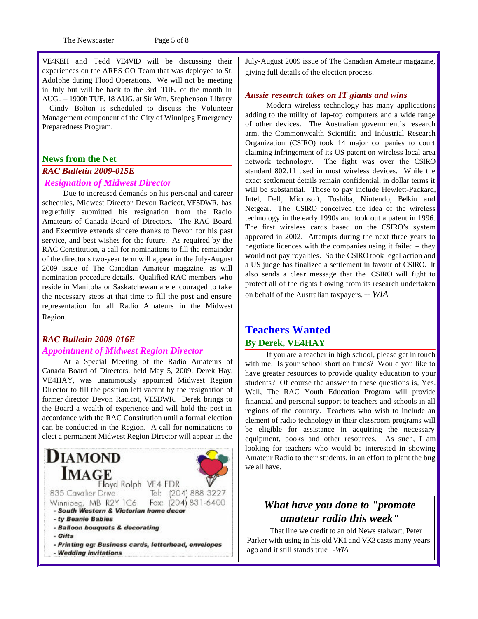The Newscaster Page 5 of 8

VE4KEH and Tedd VE4VID will be discussing their experiences on the ARES GO Team that was deployed to St. Adolphe during Flood Operations. We will not be meeting in July but will be back to the 3rd TUE. of the month in AUG.. – 1900h TUE. 18 AUG. at Sir Wm. Stephenson Library – Cindy Bolton is scheduled to discuss the Volunteer Management component of the City of Winnipeg Emergency Preparedness Program.

#### **News from the Net**

## *RAC Bulletin 2009-015E Resignation of Midwest Director*

Due to increased demands on his personal and career schedules, Midwest Director Devon Racicot, VE5DWR, has regretfully submitted his resignation from the Radio Amateurs of Canada Board of Directors. The RAC Board and Executive extends sincere thanks to Devon for his past service, and best wishes for the future. As required by the RAC Constitution, a call for nominations to fill the remainder of the director's two-year term will appear in the July-August 2009 issue of The Canadian Amateur magazine, as will nomination procedure details. Qualified RAC members who reside in Manitoba or Saskatchewan are encouraged to take the necessary steps at that time to fill the post and ensure representation for all Radio Amateurs in the Midwest Region.

#### *RAC Bulletin 2009-016E Appointment of Midwest Region Director*

At a Special Meeting of the Radio Amateurs of Canada Board of Directors, held May 5, 2009, Derek Hay, VE4HAY, was unanimously appointed Midwest Region Director to fill the position left vacant by the resignation of former director Devon Racicot, VE5DWR. Derek brings to the Board a wealth of experience and will hold the post in accordance with the RAC Constitution until a formal election can be conducted in the Region. A call for nominations to elect a permanent Midwest Region Director will appear in the



July-August 2009 issue of The Canadian Amateur magazine, giving full details of the election process.

#### *Aussie research takes on IT giants and wins*

Modern wireless technology has many applications adding to the utility of lap-top computers and a wide range of other devices. The Australian government's research arm, the Commonwealth Scientific and Industrial Research Organization (CSIRO) took 14 major companies to court claiming infringement of its US patent on wireless local area network technology. The fight was over the CSIRO standard 802.11 used in most wireless devices. While the exact settlement details remain confidential, in dollar terms it will be substantial. Those to pay include Hewlett-Packard, Intel, Dell, Microsoft, Toshiba, Nintendo, Belkin and Netgear. The CSIRO conceived the idea of the wireless technology in the early 1990s and took out a patent in 1996. The first wireless cards based on the CSIRO's system appeared in 2002. Attempts during the next three years to negotiate licences with the companies using it failed – they would not pay royalties. So the CSIRO took legal action and a US judge has finalized a settlement in favour of CSIRO. It also sends a clear message that the CSIRO will fight to protect all of the rights flowing from its research undertaken on behalf of the Australian taxpayers.*-- WIA*

## **Teachers Wanted By Derek, VE4HAY**

If you are a teacher in high school, please get in touch with me. Is your school short on funds? Would you like to have greater resources to provide quality education to your students? Of course the answer to these questions is, Yes. Well, The RAC Youth Education Program will provide financial and personal support to teachers and schools in all regions of the country. Teachers who wish to include an element of radio technology in their classroom programs will be eligible for assistance in acquiring the necessary equipment, books and other resources. As such, I am looking for teachers who would be interested in showing Amateur Radio to their students, in an effort to plant the bug we all have.

## *What have you done to "promote amateur radio this week"*

 That line we credit to an old News stalwart, Peter Parker with using in his old VK1 and VK3 casts many years ago and it still stands true *-WIA*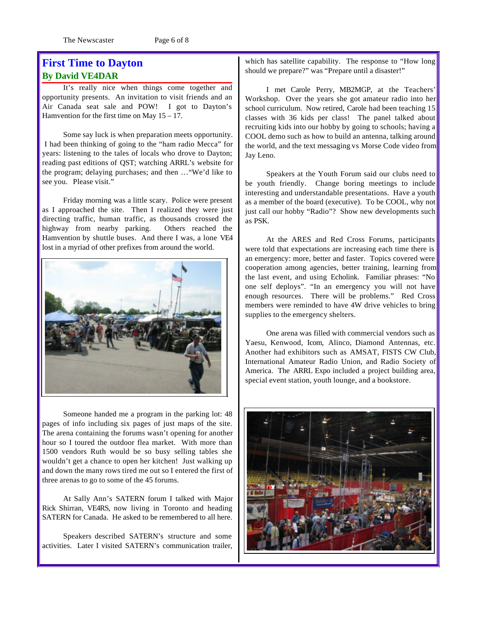The Newscaster Page 6 of 8

## **First Time to Dayton By David VE4DAR**

It's really nice when things come together and opportunity presents. An invitation to visit friends and an Air Canada seat sale and POW! I got to Dayton's Hamvention for the first time on May  $15 - 17$ .

Some say luck is when preparation meets opportunity. I had been thinking of going to the "ham radio Mecca" for years: listening to the tales of locals who drove to Dayton; reading past editions of QST; watching ARRL's website for the program; delaying purchases; and then …"We'd like to see you. Please visit."

Friday morning was a little scary. Police were present as I approached the site. Then I realized they were just directing traffic, human traffic, as thousands crossed the highway from nearby parking. Others reached the Hamvention by shuttle buses. And there I was, a lone VE4 lost in a myriad of other prefixes from around the world.



Someone handed me a program in the parking lot: 48 pages of info including six pages of just maps of the site. The arena containing the forums wasn't opening for another hour so I toured the outdoor flea market. With more than 1500 vendors Ruth would be so busy selling tables she wouldn't get a chance to open her kitchen! Just walking up and down the many rows tired me out so I entered the first of three arenas to go to some of the 45 forums.

At Sally Ann's SATERN forum I talked with Major Rick Shirran, VE4RS, now living in Toronto and heading SATERN for Canada. He asked to be remembered to all here.

Speakers described SATERN's structure and some activities. Later I visited SATERN's communication trailer, which has satellite capability. The response to "How long should we prepare?" was "Prepare until a disaster!"

I met Carole Perry, MB2MGP, at the Teachers' Workshop. Over the years she got amateur radio into her school curriculum. Now retired, Carole had been teaching 15 classes with 36 kids per class! The panel talked about recruiting kids into our hobby by going to schools; having a COOL demo such as how to build an antenna, talking around the world, and the text messaging vs Morse Code video from Jay Leno.

Speakers at the Youth Forum said our clubs need to be youth friendly. Change boring meetings to include interesting and understandable presentations. Have a youth as a member of the board (executive). To be COOL, why not just call our hobby "Radio"? Show new developments such as PSK.

At the ARES and Red Cross Forums, participants were told that expectations are increasing each time there is an emergency: more, better and faster. Topics covered were cooperation among agencies, better training, learning from the last event, and using Echolink. Familiar phrases: "No one self deploys". "In an emergency you will not have enough resources. There will be problems." Red Cross members were reminded to have 4W drive vehicles to bring supplies to the emergency shelters.

One arena was filled with commercial vendors such as Yaesu, Kenwood, Icom, Alinco, Diamond Antennas, etc. Another had exhibitors such as AMSAT, FISTS CW Club, International Amateur Radio Union, and Radio Society of America. The ARRL Expo included a project building area, special event station, youth lounge, and a bookstore.

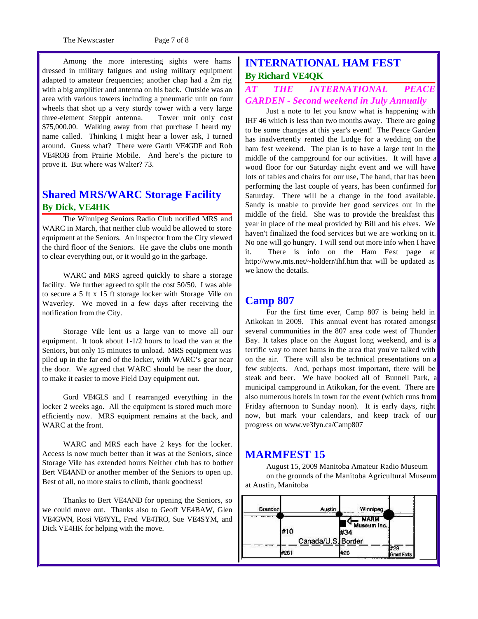The Newscaster Page 7 of 8

Among the more interesting sights were hams dressed in military fatigues and using military equipment adapted to amateur frequencies; another chap had a 2m rig with a big amplifier and antenna on his back. Outside was an area with various towers including a pneumatic unit on four wheels that shot up a very sturdy tower with a very large three-element Steppir antenna. Tower unit only cost \$75,000.00. Walking away from that purchase I heard my name called. Thinking I might hear a lower ask, I turned around. Guess what? There were Garth VE4GDF and Rob VE4ROB from Prairie Mobile. And here's the picture to prove it. But where was Walter? 73.

## **Shared MRS/WARC Storage Facility By Dick, VE4HK**

The Winnipeg Seniors Radio Club notified MRS and WARC in March, that neither club would be allowed to store equipment at the Seniors. An inspector from the City viewed the third floor of the Seniors. He gave the clubs one month to clear everything out, or it would go in the garbage.

WARC and MRS agreed quickly to share a storage facility. We further agreed to split the cost 50/50. I was able to secure a 5 ft x 15 ft storage locker with Storage Ville on Waverley. We moved in a few days after receiving the notification from the City.

Storage Ville lent us a large van to move all our equipment. It took about 1-1/2 hours to load the van at the Seniors, but only 15 minutes to unload. MRS equipment was piled up in the far end of the locker, with WARC's gear near the door. We agreed that WARC should be near the door, to make it easier to move Field Day equipment out.

Gord VE4GLS and I rearranged everything in the locker 2 weeks ago. All the equipment is stored much more efficiently now. MRS equipment remains at the back, and WARC at the front.

WARC and MRS each have 2 keys for the locker. Access is now much better than it was at the Seniors, since Storage Ville has extended hours Neither club has to bother Bert VE4AND or another member of the Seniors to open up. Best of all, no more stairs to climb, thank goodness!

Thanks to Bert VE4AND for opening the Seniors, so we could move out. Thanks also to Geoff VE4BAW, Glen VE4GWN, Rosi VE4YYL, Fred VE4TRO, Sue VE4SYM, and Dick VE4HK for helping with the move.

## **INTERNATIONAL HAM FEST By Richard VE4QK**

## *AT THE INTERNATIONAL PEACE GARDEN - Second weekend in July Annually*

Just a note to let you know what is happening with IHF 46 which is less than two months away. There are going to be some changes at this year's event! The Peace Garden has inadvertently rented the Lodge for a wedding on the ham fest weekend. The plan is to have a large tent in the middle of the campground for our activities. It will have a wood floor for our Saturday night event and we will have lots of tables and chairs for our use, The band, that has been performing the last couple of years, has been confirmed for Saturday. There will be a change in the food available. Sandy is unable to provide her good services out in the middle of the field. She was to provide the breakfast this year in place of the meal provided by Bill and his elves. We haven't finalized the food services but we are working on it. No one will go hungry. I will send out more info when I have it. There is info on the Ham Fest page at http://www.mts.net/~holderr/ihf.htm that will be updated as we know the details.

#### **Camp 807**

For the first time ever, Camp 807 is being held in Atikokan in 2009. This annual event has rotated amongst several communities in the 807 area code west of Thunder Bay. It takes place on the August long weekend, and is a terrific way to meet hams in the area that you've talked with on the air. There will also be technical presentations on a few subjects. And, perhaps most important, there will be steak and beer. We have booked all of Bunnell Park, a municipal campground in Atikokan, for the event. There are also numerous hotels in town for the event (which runs from Friday afternoon to Sunday noon). It is early days, right now, but mark your calendars, and keep track of our progress on www.ve3fyn.ca/Camp807

## **MARMFEST 15**

August 15, 2009 Manitoba Amateur Radio Museum on the grounds of the Manitoba Agricultural Museum at Austin, Manitoba